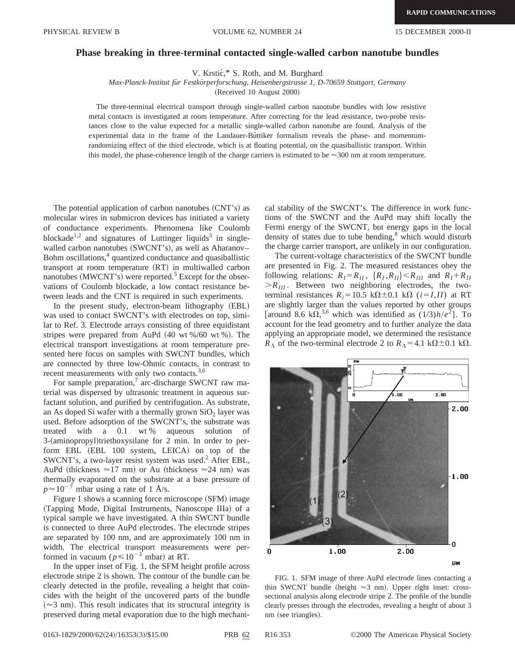## **Phase breaking in three-terminal contacted single-walled carbon nanotube bundles**

V. Krstić,\* S. Roth, and M. Burghard

*Max-Planck-Institut fu¨r Festko¨rperforschung, Heisenbergstrasse 1, D-70659 Stuttgart, Germany*

(Received 10 August 2000)

The three-terminal electrical transport through single-walled carbon nanotube bundles with low resistive metal contacts is investigated at room temperature. After correcting for the lead resistance, two-probe resistances close to the value expected for a metallic single-walled carbon nanotube are found. Analysis of the experimental data in the frame of the Landauer-Buttiker formalism reveals the phase- and momentumrandomizing effect of the third electrode, which is at floating potential, on the quasiballistic transport. Within this model, the phase-coherence length of the charge carriers is estimated to be  $\approx$  300 nm at room temperature.

The potential application of carbon nanotubes  $(CNT's)$  as molecular wires in submicron devices has initiated a variety of conductance experiments. Phenomena like Coulomb blockade<sup>1,2</sup> and signatures of Luttinger liquids<sup>3</sup> in singlewalled carbon nanotubes (SWCNT's), as well as Aharanov– Bohm oscillations,<sup>4</sup> quantized conductance and quasiballistic transport at room temperature  $(RT)$  in multiwalled carbon nanotubes (MWCNT's) were reported.<sup>5</sup> Except for the observations of Coulomb blockade, a low contact resistance between leads and the CNT is required in such experiments.

In the present study, electron-beam lithography (EBL) was used to contact SWCNT's with electrodes on top, similar to Ref. 3. Electrode arrays consisting of three equidistant stripes were prepared from AuPd  $(40 \text{ wt } %60 \text{ wt } %9)$ . The electrical transport investigations at room temperature presented here focus on samples with SWCNT bundles, which are connected by three low-Ohmic contacts, in contrast to recent measurements with only two contacts.<sup>3,6</sup>

For sample preparation, $\frac{7}{1}$  arc-discharge SWCNT raw material was dispersed by ultrasonic treatment in aqueous surfactant solution, and purified by centrifugation. As substrate, an As doped Si wafer with a thermally grown  $SiO<sub>2</sub>$  layer was used. Before adsorption of the SWCNT's, the substrate was treated with a 0.1 wt % aqueous solution of 3-(aminopropyl)triethoxysilane for 2 min. In order to perform EBL (EBL 100 system, LEICA) on top of the SWCNT's, a two-layer resist system was used.<sup>2</sup> After EBL, AuPd (thickness  $\approx$ 17 nm) or Au (thickness  $\approx$ 24 nm) was thermally evaporated on the substrate at a base pressure of  $p \approx 10^{-7}$  mbar using a rate of 1 Å/s.

Figure 1 shows a scanning force microscope (SFM) image (Tapping Mode, Digital Instruments, Nanoscope IIIa) of a typical sample we have investigated. A thin SWCNT bundle is connected to three AuPd electrodes. The electrode stripes are separated by 100 nm, and are approximately 100 nm in width. The electrical transport measurements were performed in vacuum ( $p \le 10^{-3}$  mbar) at RT.

In the upper inset of Fig. 1, the SFM height profile across electrode stripe 2 is shown. The contour of the bundle can be clearly detected in the profile, revealing a height that coincides with the height of the uncovered parts of the bundle  $(\approx 3$  nm). This result indicates that its structural integrity is preserved during metal evaporation due to the high mechanical stability of the SWCNT's. The difference in work functions of the SWCNT and the AuPd may shift locally the Fermi energy of the SWCNT, but energy gaps in the local density of states due to tube bending, $\delta$  which would disturb the charge carrier transport, are unlikely in our configuration.

The current-voltage characteristics of the SWCNT bundle are presented in Fig. 2. The measured resistances obey the following relations:  $R_I = R_{II}$ ,  $\{R_I, R_{II}\} < R_{III}$  and  $R_I + R_{II}$  $>R_{III}$ . Between two neighboring electrodes, the twoterminal resistances  $R_i = 10.5 \text{ k}\Omega \pm 0.1 \text{ k}\Omega$  ( $i = I, II$ ) at RT are slightly larger than the values reported by other groups [around 8.6 k $\Omega$ ,<sup>3,6</sup> which was identified as  $(1/3)h/e^2$ ]. To account for the lead geometry and to further analyze the data applying an appropriate model, we determined the resistance  $R_{\Lambda}$  of the two-terminal electrode 2 to  $R_{\Lambda}$  = 4.1 k $\Omega \pm 0.1$  k $\Omega$ .



FIG. 1. SFM image of three AuPd electrode lines contacting a thin SWCNT bundle (height  $\approx$ 3 nm). Upper right inset: crosssectional analysis along electrode stripe 2. The profile of the bundle clearly presses through the electrodes, revealing a height of about 3 nm (see triangles).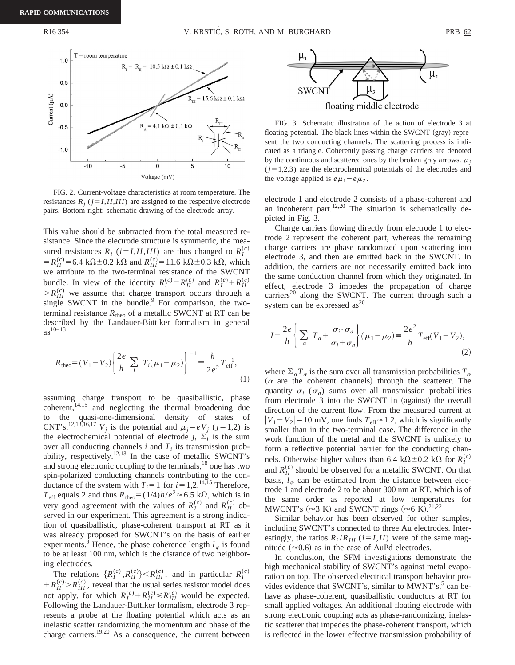

FIG. 2. Current-voltage characteristics at room temperature. The resistances  $R_i$  ( $j = I, II, III$ ) are assigned to the respective electrode pairs. Bottom right: schematic drawing of the electrode array.

This value should be subtracted from the total measured resistance. Since the electrode structure is symmetric, the measured resistances  $R_i$  ( $i = I, II, III$ ) are thus changed to  $R_I^{(c)}$  $=R_{II}^{(c)}$  = 6.4 k $\Omega$  ± 0.2 k $\Omega$  and  $R_{III}^{(c)}$  = 11.6 k $\Omega$  ± 0.3 k $\Omega$ , which we attribute to the two-terminal resistance of the SWCNT bundle. In view of the identity  $R_I^{(c)} = R_{II}^{(c)}$  and  $R_I^{(c)} + R_{II}^{(c)}$  $\geq R_{III}^{(c)}$  we assume that charge transport occurs through a single SWCNT in the bundle. $9$  For comparison, the twoterminal resistance  $R_{\text{theo}}$  of a metallic SWCNT at RT can be described by the Landauer-Büttiker formalism in general  $as^{10-13}$ 

$$
R_{\text{theo}} = (V_1 - V_2) \left\{ \frac{2e}{h} \sum_{i} T_i (\mu_1 - \mu_2) \right\}^{-1} \equiv \frac{h}{2e^2} T_{\text{eff}}^{-1},\tag{1}
$$

assuming charge transport to be quasiballistic, phase  $\overline{\text{coker}}$ <sup>14,15</sup> and neglecting the thermal broadening due to the quasi-one-dimensional density of states of CNT's.<sup>12,13,16,17</sup> *V<sub>i</sub>* is the potential and  $\mu_i = eV_i$  (*j* = 1,2) is the electrochemical potential of electrode *j*,  $\Sigma_i$  is the sum over all conducting channels  $i$  and  $T_i$  its transmission probability, respectively.<sup>12,13</sup> In the case of metallic SWCNT's and strong electronic coupling to the terminals,<sup>18</sup> one has two spin-polarized conducting channels contributing to the conductance of the system with  $T_i=1$  for  $i=1,2$ .<sup>14,15</sup> Therefore,  $T_{\text{eff}}$  equals 2 and thus  $R_{\text{theo}} = (1/4)h/e^2 \approx 6.5 \text{ k}\Omega$ , which is in very good agreement with the values of  $R_I^{(c)}$  and  $R_{II}^{(c)}$  observed in our experiment. This agreement is a strong indication of quasiballistic, phase-coherent transport at RT as it was already proposed for SWCNT's on the basis of earlier experiments.<sup>9</sup> Hence, the phase coherence length  $l_{\varphi}$  is found to be at least 100 nm, which is the distance of two neighboring electrodes.

The relations  $\{R_I^{(c)}, R_{II}^{(c)}\} < R_{III}^{(c)}$ , and in particular  $R_I^{(c)}$  $+ R_{II}^{(c)} > R_{III}^{(c)}$ , reveal that the usual series resistor model does not apply, for which  $R_I^{(c)} + R_{II}^{(c)} \le R_{III}^{(c)}$  would be expected. Following the Landauer-Büttiker formalism, electrode 3 represents a probe at the floating potential which acts as an inelastic scatter randomizing the momentum and phase of the charge carriers.<sup>19,20</sup> As a consequence, the current between



FIG. 3. Schematic illustration of the action of electrode 3 at floating potential. The black lines within the SWCNT (gray) represent the two conducting channels. The scattering process is indicated as a triangle. Coherently passing charge carriers are denoted by the continuous and scattered ones by the broken gray arrows.  $\mu_i$  $(j=1,2,3)$  are the electrochemical potentials of the electrodes and the voltage applied is  $e\mu_1 - e\mu_2$ .

electrode 1 and electrode 2 consists of a phase-coherent and an incoherent part.<sup>12,20</sup> The situation is schematically depicted in Fig. 3.

Charge carriers flowing directly from electrode 1 to electrode 2 represent the coherent part, whereas the remaining charge carriers are phase randomized upon scattering into electrode 3, and then are emitted back in the SWCNT. In addition, the carriers are not necessarily emitted back into the same conduction channel from which they originated. In effect, electrode 3 impedes the propagation of charge carriers<sup>20</sup> along the SWCNT. The current through such a system can be expressed as<sup>20</sup>

$$
I = \frac{2e}{h} \left\{ \sum_{\alpha} T_{\alpha} + \frac{\sigma_i \cdot \sigma_a}{\sigma_i + \sigma_a} \right\} (\mu_1 - \mu_2) \equiv \frac{2e^2}{h} T_{\text{eff}} (V_1 - V_2), \tag{2}
$$

where  $\sum_{\alpha} T_{\alpha}$  is the sum over all transmission probabilities  $T_{\alpha}$  $(\alpha$  are the coherent channels) through the scatterer. The quantity  $\sigma_i$  ( $\sigma_a$ ) sums over all transmission probabilities from electrode 3 into the SWCNT in (against) the overall direction of the current flow. From the measured current at  $|V_1 - V_2| = 10$  mV, one finds  $T_{\text{eff}} \approx 1.2$ , which is significantly smaller than in the two-terminal case. The difference in the work function of the metal and the SWCNT is unlikely to form a reflective potential barrier for the conducting channels. Otherwise higher values than 6.4 k $\Omega \pm 0.2$  k $\Omega$  for  $R_I^{(c)}$ and  $R_{II}^{(c)}$  should be observed for a metallic SWCNT. On that basis,  $l_{\varphi}$  can be estimated from the distance between electrode 1 and electrode 2 to be about 300 nm at RT, which is of the same order as reported at low temperatures for MWCNT's ( $\approx$ 3 K) and SWCNT rings ( $\approx$ 6 K).<sup>21,22</sup>

Similar behavior has been observed for other samples, including SWCNT's connected to three Au electrodes. Interestingly, the ratios  $R_i/R_{III}$  ( $i=I,II$ ) were of the same magnitude  $(\approx 0.6)$  as in the case of AuPd electrodes.

In conclusion, the SFM investigations demonstrate the high mechanical stability of SWCNT's against metal evaporation on top. The observed electrical transport behavior provides evidence that SWCNT's, similar to MWNT's, $5$  can behave as phase-coherent, quasiballistic conductors at RT for small applied voltages. An additional floating electrode with strong electronic coupling acts as phase-randomizing, inelastic scatterer that impedes the phase-coherent transport, which is reflected in the lower effective transmission probability of